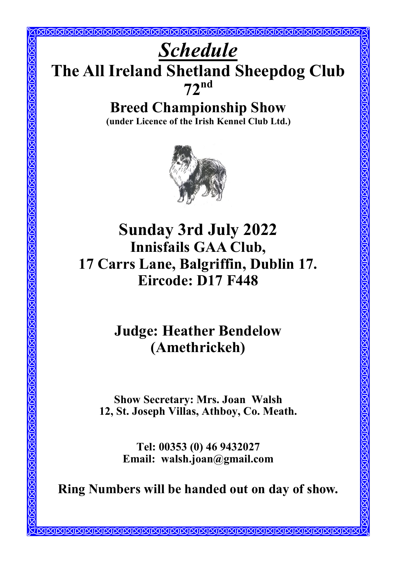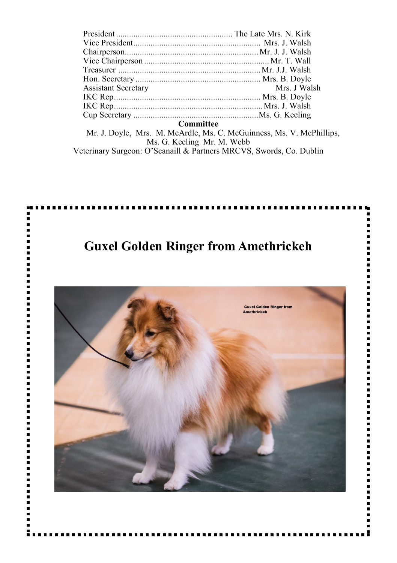| <b>Assistant Secretary</b> | Mrs. J Walsh |
|----------------------------|--------------|
|                            |              |
|                            |              |
|                            |              |

#### **Committee**

 Mr. J. Doyle, Mrs. M. McArdle, Ms. C. McGuinness, Ms. V. McPhillips, Ms. G. Keeling Mr. M. Webb Veterinary Surgeon: O'Scanaill & Partners MRCVS, Swords, Co. Dublin

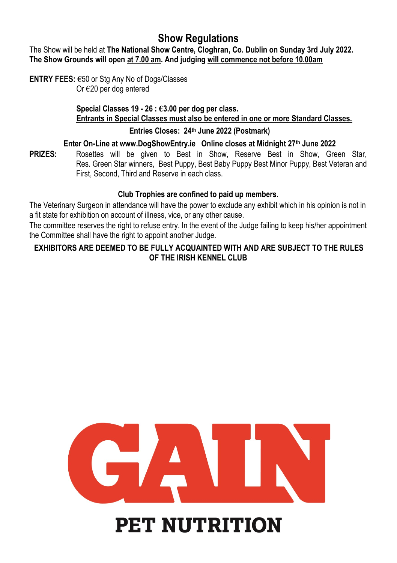# **Show Regulations**

The Show will be held at **The National Show Centre, Cloghran, Co. Dublin on Sunday 3rd July 2022. The Show Grounds will open at 7.00 am. And judging will commence not before 10.00am**

**ENTRY FEES:** €50 or Stg Any No of Dogs/Classes Or €20 per dog entered

> **Special Classes 19 - 26 : €3.00 per dog per class. Entrants in Special Classes must also be entered in one or more Standard Classes.**

## **Entries Closes: 24th June 2022 (Postmark)**

## **Enter On-Line at www.DogShowEntry.ie Online closes at Midnight 27th June 2022**

**PRIZES:** Rosettes will be given to Best in Show, Reserve Best in Show, Green Star, Res. Green Star winners, Best Puppy, Best Baby Puppy Best Minor Puppy, Best Veteran and First, Second, Third and Reserve in each class.

## **Club Trophies are confined to paid up members***.*

The Veterinary Surgeon in attendance will have the power to exclude any exhibit which in his opinion is not in a fit state for exhibition on account of illness, vice, or any other cause.

The committee reserves the right to refuse entry. In the event of the Judge failing to keep his/her appointment the Committee shall have the right to appoint another Judge.

# **EXHIBITORS ARE DEEMED TO BE FULLY ACQUAINTED WITH AND ARE SUBJECT TO THE RULES OF THE IRISH KENNEL CLUB**



# **PET NUTRITION**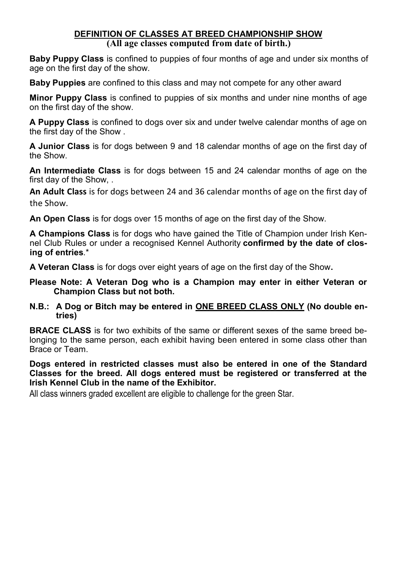#### **DEFINITION OF CLASSES AT BREED CHAMPIONSHIP SHOW (All age classes computed from date of birth.)**

**Baby Puppy Class** is confined to puppies of four months of age and under six months of age on the first day of the show.

**Baby Puppies** are confined to this class and may not compete for any other award

**Minor Puppy Class** is confined to puppies of six months and under nine months of age on the first day of the show.

**A Puppy Class** is confined to dogs over six and under twelve calendar months of age on the first day of the Show .

**A Junior Class** is for dogs between 9 and 18 calendar months of age on the first day of the Show.

**An Intermediate Class** is for dogs between 15 and 24 calendar months of age on the first day of the Show, .

**An Adult Class** is for dogs between 24 and 36 calendar months of age on the first day of the Show.

**An Open Class** is for dogs over 15 months of age on the first day of the Show.

**A Champions Class** is for dogs who have gained the Title of Champion under Irish Kennel Club Rules or under a recognised Kennel Authority **confirmed by the date of closing of entries**.\*

**A Veteran Class** is for dogs over eight years of age on the first day of the Show**.**

- **Please Note: A Veteran Dog who is a Champion may enter in either Veteran or Champion Class but not both.**
- **N.B.: A Dog or Bitch may be entered in ONE BREED CLASS ONLY (No double entries)**

**BRACE CLASS** is for two exhibits of the same or different sexes of the same breed belonging to the same person, each exhibit having been entered in some class other than Brace or Team.

**Dogs entered in restricted classes must also be entered in one of the Standard Classes for the breed. All dogs entered must be registered or transferred at the Irish Kennel Club in the name of the Exhibitor.**

All class winners graded excellent are eligible to challenge for the green Star.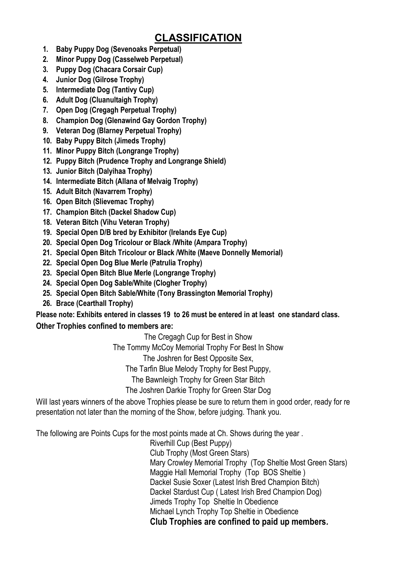# **CLASSIFICATION**

- **1. Baby Puppy Dog (Sevenoaks Perpetual)**
- **2. Minor Puppy Dog (Casselweb Perpetual)**
- **3. Puppy Dog (Chacara Corsair Cup)**
- **4. Junior Dog (Gilrose Trophy)**
- **5. Intermediate Dog (Tantivy Cup)**
- **6. Adult Dog (Cluanultaigh Trophy)**
- **7. Open Dog (Cregagh Perpetual Trophy)**
- **8. Champion Dog (Glenawind Gay Gordon Trophy)**
- **9. Veteran Dog (Blarney Perpetual Trophy)**
- **10. Baby Puppy Bitch (Jimeds Trophy)**
- **11. Minor Puppy Bitch (Longrange Trophy)**
- **12. Puppy Bitch (Prudence Trophy and Longrange Shield)**
- **13. Junior Bitch (Dalyihaa Trophy)**
- **14. Intermediate Bitch (Allana of Melvaig Trophy)**
- **15. Adult Bitch (Navarrem Trophy)**
- **16. Open Bitch (Slievemac Trophy)**
- **17. Champion Bitch (Dackel Shadow Cup)**
- **18. Veteran Bitch (Vihu Veteran Trophy)**
- **19. Special Open D/B bred by Exhibitor (Irelands Eye Cup)**
- **20. Special Open Dog Tricolour or Black /White (Ampara Trophy)**
- **21. Special Open Bitch Tricolour or Black /White (Maeve Donnelly Memorial)**
- **22. Special Open Dog Blue Merle (Patrulia Trophy)**
- **23. Special Open Bitch Blue Merle (Longrange Trophy)**
- **24. Special Open Dog Sable/White (Clogher Trophy)**
- **25. Special Open Bitch Sable/White (Tony Brassington Memorial Trophy)**
- **26. Brace (Cearthall Trophy)**

### **Please note: Exhibits entered in classes 19 to 26 must be entered in at least one standard class. Other Trophies confined to members are:**

The Cregagh Cup for Best in Show

The Tommy McCoy Memorial Trophy For Best In Show

The Joshren for Best Opposite Sex,

The Tarfin Blue Melody Trophy for Best Puppy,

The Bawnleigh Trophy for Green Star Bitch

The Joshren Darkie Trophy for Green Star Dog

Will last years winners of the above Trophies please be sure to return them in good order, ready for re presentation not later than the morning of the Show, before judging. Thank you.

The following are Points Cups for the most points made at Ch. Shows during the year .

Riverhill Cup (Best Puppy) Club Trophy (Most Green Stars) Mary Crowley Memorial Trophy (Top Sheltie Most Green Stars) Maggie Hall Memorial Trophy (Top BOS Sheltie) Dackel Susie Soxer (Latest Irish Bred Champion Bitch) Dackel Stardust Cup ( Latest Irish Bred Champion Dog) Jimeds Trophy Top Sheltie In Obedience Michael Lynch Trophy Top Sheltie in Obedience  **Club Trophies are confined to paid up members***.*